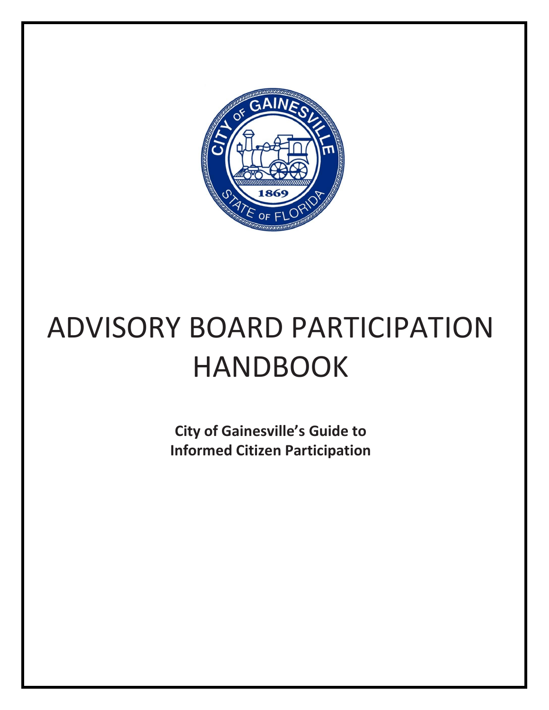

# ADVISORY BOARD PARTICIPATION HANDBOOK

**City of Gainesville's Guide to Informed Citizen Participation**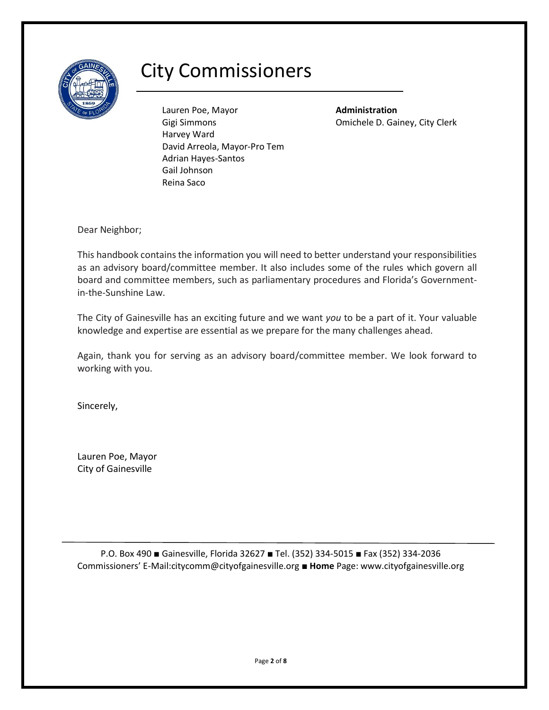

# City Commissioners

Lauren Poe, Mayor **Administration** Gigi Simmons Omichele D. Gainey, City Clerk Harvey Ward David Arreola, Mayor-Pro Tem Adrian Hayes-Santos Gail Johnson Reina Saco

Dear Neighbor;

This handbook contains the information you will need to better understand your responsibilities as an advisory board/committee member. It also includes some of the rules which govern all board and committee members, such as parliamentary procedures and Florida's Governmentin-the-Sunshine Law.

The City of Gainesville has an exciting future and we want *you* to be a part of it. Your valuable knowledge and expertise are essential as we prepare for the many challenges ahead.

Again, thank you for serving as an advisory board/committee member. We look forward to working with you.

Sincerely,

Lauren Poe, Mayor City of Gainesville

P.O. Box 490 ■ Gainesville, Florida 32627 ■ Tel. (352) 334-5015 ■ Fax (352) 334-2036 Commissioners' E-Mail:citycomm@cityofgainesville.org ■ **Home** Page: www.cityofgainesville.org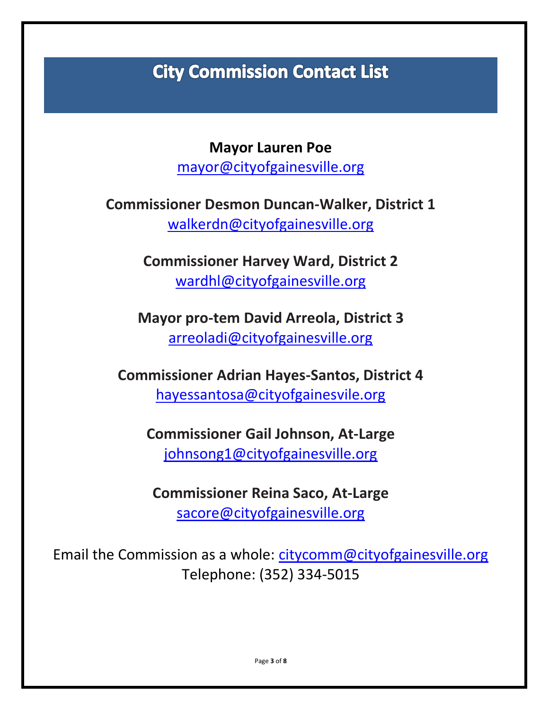# **City Commission Contact List**

**Mayor Lauren Poe** [mayor@cityofgainesville.org](mailto:mayor@cityofgainesville.org)

**Commissioner Desmon Duncan-Walker, District 1** [walkerdn@cityofgainesville.org](mailto:walkerdn@cityofgainesville.org)

> **Commissioner Harvey Ward, District 2** [wardhl@cityofgainesville.org](mailto:wardhl@cityofgainesville.org)

**Mayor pro-tem David Arreola, District 3** [arreoladi@cityofgainesville.org](mailto:arreoladi@cityofgainesville.org)

**Commissioner Adrian Hayes-Santos, District 4** [hayessantosa@cityofgainesvile.org](mailto:hayessantosa@cityofgainesvile.org)

**Commissioner Gail Johnson, At-Large** [johnsong1@cityofgainesville.org](mailto:johnsong1@cityofgainesville.org)

**Commissioner Reina Saco, At-Large** [sacore@cityofgainesville.org](mailto:sacore@cityofgainesville.org)

Email the Commission as a whole: [citycomm@cityofgainesville.org](mailto:citycomm@cityofgainesville.org) Telephone: (352) 334-5015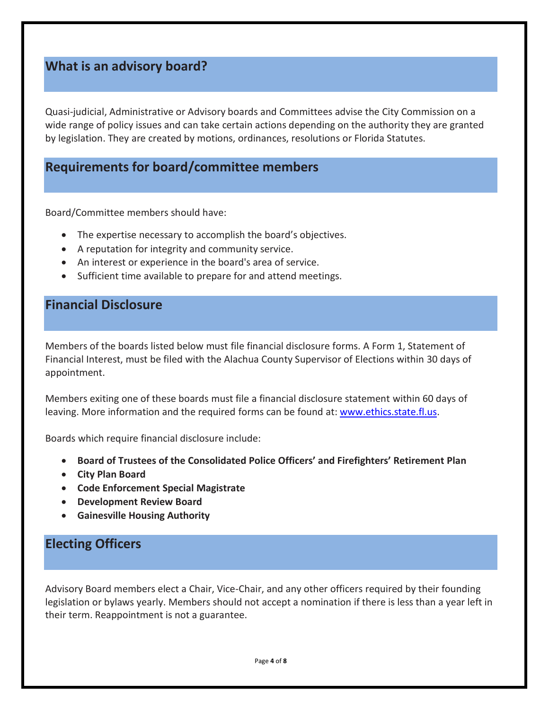# **What is an advisory board?**

Quasi-judicial, Administrative or Advisory boards and Committees advise the City Commission on a wide range of policy issues and can take certain actions depending on the authority they are granted by legislation. They are created by motions, ordinances, resolutions or Florida Statutes.

### **Requirements for board/committee members**

Board/Committee members should have:

- The expertise necessary to accomplish the board's objectives.
- A reputation for integrity and community service.
- An interest or experience in the board's area of service.
- Sufficient time available to prepare for and attend meetings.

# **Financial Disclosure**

Members of the boards listed below must file financial disclosure forms. A Form 1, Statement of Financial Interest, must be filed with the Alachua County Supervisor of Elections within 30 days of appointment.

Members exiting one of these boards must file a financial disclosure statement within 60 days of leaving. More information and the required forms can be found at: [www.ethics.state.fl.us.](http://www.ethics.state.fl.us/)

Boards which require financial disclosure include:

- **Board of Trustees of the Consolidated Police Officers' and Firefighters' Retirement Plan**
- **City Plan Board**
- **Code Enforcement Special Magistrate**
- **Development Review Board**
- **Gainesville Housing Authority**

# **Electing Officers**

Advisory Board members elect a Chair, Vice-Chair, and any other officers required by their founding legislation or bylaws yearly. Members should not accept a nomination if there is less than a year left in their term. Reappointment is not a guarantee.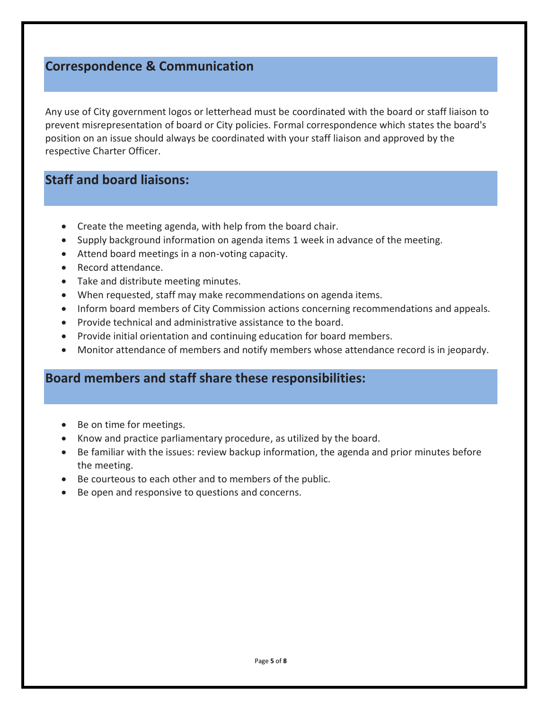# **Correspondence & Communication**

Any use of City government logos or letterhead must be coordinated with the board or staff liaison to prevent misrepresentation of board or City policies. Formal correspondence which states the board's position on an issue should always be coordinated with your staff liaison and approved by the respective Charter Officer.

# **Staff and board liaisons:**

- Create the meeting agenda, with help from the board chair.
- Supply background information on agenda items 1 week in advance of the meeting.
- Attend board meetings in a non-voting capacity.
- Record attendance.
- Take and distribute meeting minutes.
- When requested, staff may make recommendations on agenda items.
- Inform board members of City Commission actions concerning recommendations and appeals.
- Provide technical and administrative assistance to the board.
- Provide initial orientation and continuing education for board members.
- Monitor attendance of members and notify members whose attendance record is in jeopardy.

### **Board members and staff share these responsibilities:**

- Be on time for meetings.
- Know and practice parliamentary procedure, as utilized by the board.
- Be familiar with the issues: review backup information, the agenda and prior minutes before the meeting.
- Be courteous to each other and to members of the public.
- Be open and responsive to questions and concerns.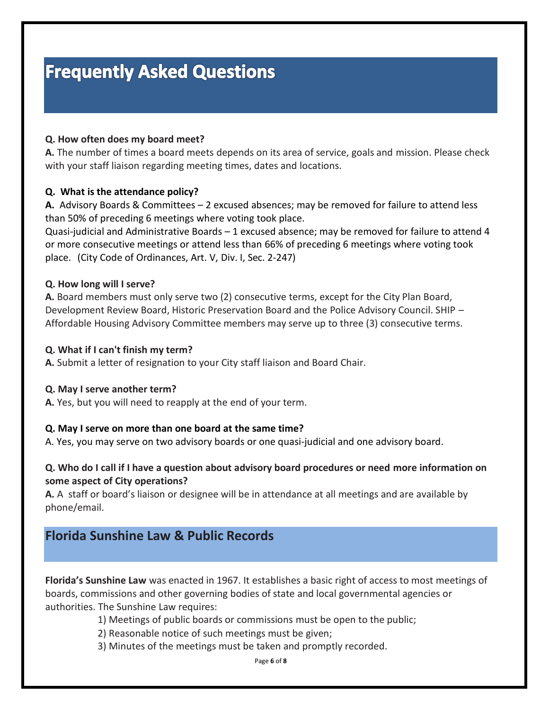# **Frequently Asked Questions**

#### **Q. How often does my board meet?**

**A.** The number of times a board meets depends on its area of service, goals and mission. Please check with your staff liaison regarding meeting times, dates and locations.

#### **Q. What is the attendance policy?**

**A.** Advisory Boards & Committees – 2 excused absences; may be removed for failure to attend less than 50% of preceding 6 meetings where voting took place.

Quasi-judicial and Administrative Boards – 1 excused absence; may be removed for failure to attend 4 or more consecutive meetings or attend less than 66% of preceding 6 meetings where voting took place. (City Code of Ordinances, Art. V, Div. I, Sec. 2-247)

#### **Q. How long will I serve?**

**A.** Board members must only serve two (2) consecutive terms, except for the City Plan Board, Development Review Board, Historic Preservation Board and the Police Advisory Council. SHIP – Affordable Housing Advisory Committee members may serve up to three (3) consecutive terms.

#### **Q. What if I can't finish my term?**

**A.** Submit a letter of resignation to your City staff liaison and Board Chair.

#### **Q. May I serve another term?**

**A.** Yes, but you will need to reapply at the end of your term.

#### **Q. May I serve on more than one board at the same time?**

A. Yes, you may serve on two advisory boards or one quasi-judicial and one advisory board.

#### **Q. Who do I call if I have a question about advisory board procedures or need more information on some aspect of City operations?**

**A.** A staff or board's liaison or designee will be in attendance at all meetings and are available by phone/email.

# **Florida Sunshine Law & Public Records**

**Florida's Sunshine Law** was enacted in 1967. It establishes a basic right of access to most meetings of boards, commissions and other governing bodies of state and local governmental agencies or authorities. The Sunshine Law requires:

1) Meetings of public boards or commissions must be open to the public;

2) Reasonable notice of such meetings must be given;

3) Minutes of the meetings must be taken and promptly recorded.

Page **6** of **8**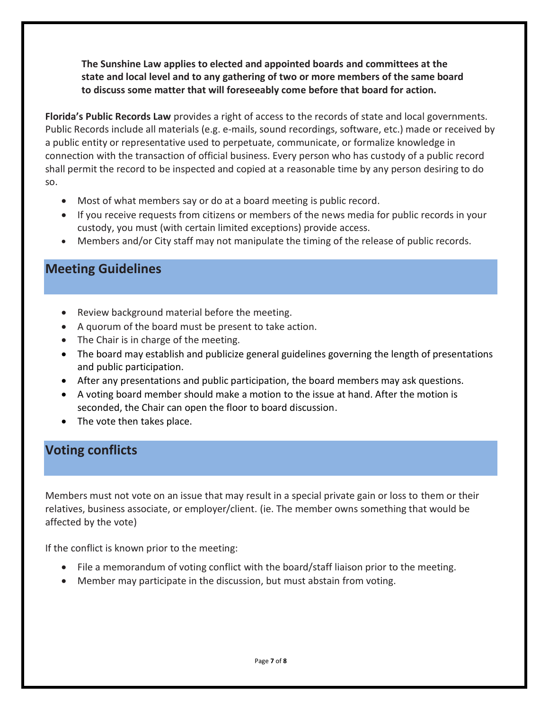**The Sunshine Law applies to elected and appointed boards and committees at the state and local level and to any gathering of two or more members of the same board to discuss some matter that will foreseeably come before that board for action.**

**Florida's Public Records Law** provides a right of access to the records of state and local governments. Public Records include all materials (e.g. e-mails, sound recordings, software, etc.) made or received by a public entity or representative used to perpetuate, communicate, or formalize knowledge in connection with the transaction of official business. Every person who has custody of a public record shall permit the record to be inspected and copied at a reasonable time by any person desiring to do so.

- Most of what members say or do at a board meeting is public record.
- If you receive requests from citizens or members of the news media for public records in your custody, you must (with certain limited exceptions) provide access.
- Members and/or City staff may not manipulate the timing of the release of public records.

# **Meeting Guidelines**

- Review background material before the meeting.
- A quorum of the board must be present to take action.
- The Chair is in charge of the meeting.
- The board may establish and publicize general guidelines governing the length of presentations and public participation.
- After any presentations and public participation, the board members may ask questions.
- A voting board member should make a motion to the issue at hand. After the motion is seconded, the Chair can open the floor to board discussion.
- The vote then takes place.

# **Voting conflicts**

Members must not vote on an issue that may result in a special private gain or loss to them or their relatives, business associate, or employer/client. (ie. The member owns something that would be affected by the vote)

If the conflict is known prior to the meeting:

- File a memorandum of voting conflict with the board/staff liaison prior to the meeting.
- Member may participate in the discussion, but must abstain from voting.